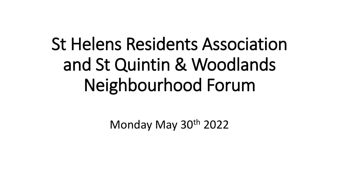# St Helens Residents Association and St Quintin & Woodlands Neighbourhood Forum

Monday May 30<sup>th</sup> 2022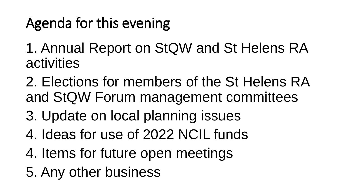# Agenda for this evening

- 1. Annual Report on StQW and St Helens RA activities
- 2. Elections for members of the St Helens RA and StQW Forum management committees
- 3. Update on local planning issues
- 4. Ideas for use of 2022 NCIL funds
- 4. Items for future open meetings
- 5. Any other business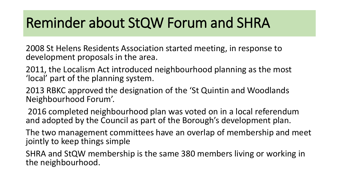### Reminder about StQW Forum and SHRA

2008 St Helens Residents Association started meeting, in response to development proposals in the area.

- 2011, the Localism Act introduced neighbourhood planning as the most 'local' part of the planning system.
- 2013 RBKC approved the designation of the 'St Quintin and Woodlands Neighbourhood Forum'.
- 2016 completed neighbourhood plan was voted on in a local referendum and adopted by the Council as part of the Borough's development plan.
- The two management committees have an overlap of membership and meet jointly to keep things simple
- SHRA and StQW membership is the same 380 members living or working in the neighbourhood.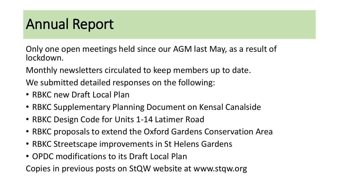### Annual Report

Only one open meetings held since our AGM last May, as a result of lockdown.

Monthly newsletters circulated to keep members up to date.

We submitted detailed responses on the following:

- RBKC new Draft Local Plan
- RBKC Supplementary Planning Document on Kensal Canalside
- RBKC Design Code for Units 1-14 Latimer Road
- RBKC proposals to extend the Oxford Gardens Conservation Area
- RBKC Streetscape improvements in St Helens Gardens
- OPDC modifications to its Draft Local Plan

Copies in previous posts on StQW website at www.stqw.org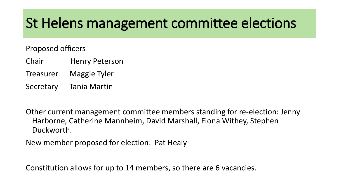### St Helens management committee elections

Proposed officers

- Chair Henry Peterson
- Treasurer Maggie Tyler
- Secretary Tania Martin

Other current management committee members standing for re-election: Jenny Harborne, Catherine Mannheim, David Marshall, Fiona Withey, Stephen Duckworth.

New member proposed for election: Pat Healy

Constitution allows for up to 14 members, so there are 6 vacancies.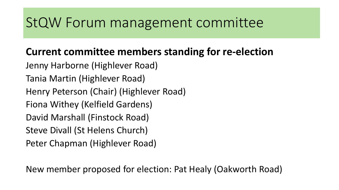### StQW Forum management committee

### **Current committee members standing for re-election**

Jenny Harborne (Highlever Road) Tania Martin (Highlever Road) Henry Peterson (Chair) (Highlever Road) Fiona Withey (Kelfield Gardens) David Marshall (Finstock Road) Steve Divall (St Helens Church) Peter Chapman (Highlever Road)

New member proposed for election: Pat Healy (Oakworth Road)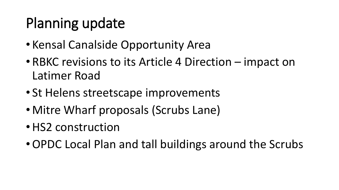# Planning update

- Kensal Canalside Opportunity Area
- RBKC revisions to its Article 4 Direction impact on Latimer Road
- St Helens streetscape improvements
- Mitre Wharf proposals (Scrubs Lane)
- HS2 construction
- •OPDC Local Plan and tall buildings around the Scrubs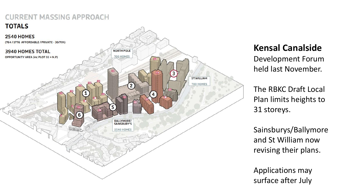

### **Kensal Canalside**

Development Forum held last November.

The RBKC Draft Local Plan limits heights to 31 storeys.

Sainsburys/Ballymore and St William now revising their plans.

Applications may surface after July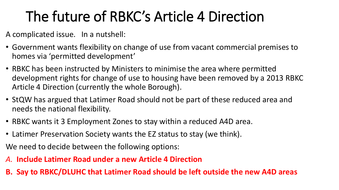## The future of RBKC's Article 4 Direction

A complicated issue. In a nutshell:

- Government wants flexibility on change of use from vacant commercial premises to homes via 'permitted development'
- RBKC has been instructed by Ministers to minimise the area where permitted development rights for change of use to housing have been removed by a 2013 RBKC Article 4 Direction (currently the whole Borough).
- StQW has argued that Latimer Road should not be part of these reduced area and needs the national flexibility.
- RBKC wants it 3 Employment Zones to stay within a reduced A4D area.
- Latimer Preservation Society wants the EZ status to stay (we think).

We need to decide between the following options:

- *A.* **Include Latimer Road under a new Article 4 Direction**
- **B. Say to RBKC/DLUHC that Latimer Road should be left outside the new A4D areas**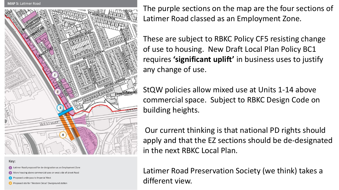

Key:

- Latimer Road proposed for de-designation as an Employment Zone
- lore housing above commercial uses on west side of street Road
- oposed underpass to Imperial West
- Proposed site for 'Western Circus' Overground station

The purple sections on the map are the four sections of Latimer Road classed as an Employment Zone.

These are subject to RBKC Policy CF5 resisting change of use to housing. New Draft Local Plan Policy BC1 requires **'significant uplift'** in business uses to justify any change of use.

StQW policies allow mixed use at Units 1-14 above commercial space. Subject to RBKC Design Code on building heights.

Our current thinking is that national PD rights should apply and that the EZ sections should be de-designated in the next RBKC Local Plan.

Latimer Road Preservation Society (we think) takes a different view.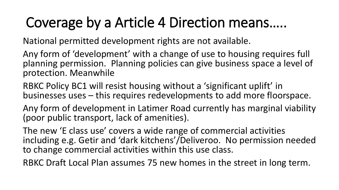### Coverage by a Article 4 Direction means…..

National permitted development rights are not available.

Any form of 'development' with a change of use to housing requires full planning permission. Planning policies can give business space a level of protection. Meanwhile

RBKC Policy BC1 will resist housing without a 'significant uplift' in businesses uses – this requires redevelopments to add more floorspace.

Any form of development in Latimer Road currently has marginal viability (poor public transport, lack of amenities).

The new 'E class use' covers a wide range of commercial activities including e.g. Getir and 'dark kitchens'/Deliveroo. No permission needed to change commercial activities within this use class.

RBKC Draft Local Plan assumes 75 new homes in the street in long term.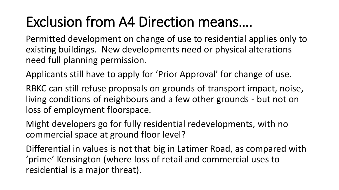### Exclusion from A4 Direction means….

Permitted development on change of use to residential applies only to existing buildings. New developments need or physical alterations need full planning permission.

Applicants still have to apply for 'Prior Approval' for change of use.

RBKC can still refuse proposals on grounds of transport impact, noise, living conditions of neighbours and a few other grounds - but not on loss of employment floorspace.

Might developers go for fully residential redevelopments, with no commercial space at ground floor level?

Differential in values is not that big in Latimer Road, as compared with 'prime' Kensington (where loss of retail and commercial uses to residential is a major threat).